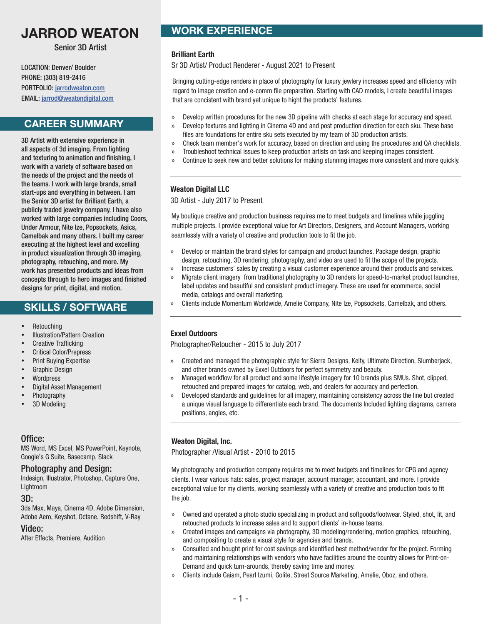# **JARROD WEATON WORK EXPERIENCE**

Senior 3D Artist

LOCATION: Denver/ Boulder PHONE: (303) 819-2416 PORTFOLIO: jarrodweaton.com EMAIL: jarrod@weatondigital.com

### **CAREER SUMMARY**

3D Artist with extensive experience in all aspects of 3d imaging. From lighting and texturing to animation and finishing, I work with a variety of software based on the needs of the project and the needs of the teams. I work with large brands, small start-ups and everything in between. I am the Senior 3D artist for Brilliant Earth, a publicly traded jewelry company. I have also worked with large companies including Coors, Under Armour, Nite Ize, Popsockets, Asics, Camelbak and many others. I built my career executing at the highest level and excelling in product visualization through 3D imaging, photography, retouching, and more. My work has presented products and ideas from concepts through to hero images and finished designs for print, digital, and motion.

# **SKILLS / SOFTWARE**

- Retouching
- Illustration/Pattern Creation
- Creative Trafficking
- Critical Color/Prepress
- Print Buying Expertise
- Graphic Design
- **Wordpress**
- Digital Asset Management
- Photography
- 3D Modeling

#### Office:

MS Word, MS Excel, MS PowerPoint, Keynote, Google's G Suite, Basecamp, Slack

#### Photography and Design:

Indesign, Illustrator, Photoshop, Capture One, **Lightroom** 

#### 3D:

3ds Max, Maya, Cinema 4D, Adobe Dimension, Adobe Aero, Keyshot, Octane, Redshift, V-Ray

#### Video:

After Effects, Premiere, Audition

#### **Brilliant Earth**

Sr 3D Artist/ Product Renderer - August 2021 to Present

Bringing cutting-edge renders in place of photography for luxury jewlery increases speed and efficiency with regard to image creation and e-comm file preparation. Starting with CAD models, I create beautiful images that are concistent with brand yet unique to hight the products' features.

- » Develop written procedures for the new 3D pipeline with checks at each stage for accuracy and speed.
- » Develop textures and lighting in Cinema 4D and and post production direction for each sku. These base files are foundations for entire sku sets executed by my team of 3D production artists.
- » Check team member's work for accuracy, based on direction and using the procedures and QA checklists.
- » Troubleshoot technical issues to keep production artists on task and keeping images consistent.
- » Continue to seek new and better solutions for making stunning images more consistent and more quickly.

#### **Weaton Digital LLC**

3D Artist - July 2017 to Present

My boutique creative and production business requires me to meet budgets and timelines while juggling multiple projects. I provide exceptional value for Art Directors, Designers, and Account Managers, working seamlessly with a variety of creative and production tools to fit the job.

- » Develop or maintain the brand styles for campaign and product launches. Package design, graphic design, retouching, 3D rendering, photography, and video are used to fit the scope of the projects.
- » Increase customers' sales by creating a visual customer experience around their products and services.
- » Migrate client imagery from traditional photography to 3D renders for speed-to-market product launches, label updates and beautiful and consistent product imagery. These are used for ecommerce, social media, catalogs and overall marketing.
- » Clients include Momentum Worldwide, Amelie Company, Nite Ize, Popsockets, Camelbak, and others.

#### **Exxel Outdoors**

Photographer/Retoucher - 2015 to July 2017

- » Created and managed the photographic style for Sierra Designs, Kelty, Ultimate Direction, Slumberjack, and other brands owned by Exxel Outdoors for perfect symmetry and beauty.
- » Managed workflow for all product and some lifestyle imagery for 10 brands plus SMUs. Shot, clipped, retouched and prepared images for catalog, web, and dealers for accuracy and perfection.
- » Developed standards and guidelines for all imagery, maintaining consistency across the line but created a unique visual language to differentiate each brand. The documents Included lighting diagrams, camera positions, angles, etc.

#### **Weaton Digital, Inc.**

Photographer /Visual Artist - 2010 to 2015

My photography and production company requires me to meet budgets and timelines for CPG and agency clients. I wear various hats: sales, project manager, account manager, accountant, and more. I provide exceptional value for my clients, working seamlessly with a variety of creative and production tools to fit the job.

- » Owned and operated a photo studio specializing in product and softgoods/footwear. Styled, shot, lit, and retouched products to increase sales and to support clients' in-house teams.
- » Created images and campaigns via photography, 3D modeling/rendering, motion graphics, retouching, and compositing to create a visual style for agencies and brands.
- » Consulted and bought print for cost savings and identified best method/vendor for the project. Forming and maintaining relationships with vendors who have facilities around the country allows for Print-on-Demand and quick turn-arounds, thereby saving time and money.
- » Clients include Gaiam, Pearl Izumi, Golite, Street Source Marketing, Amelie, Oboz, and others.